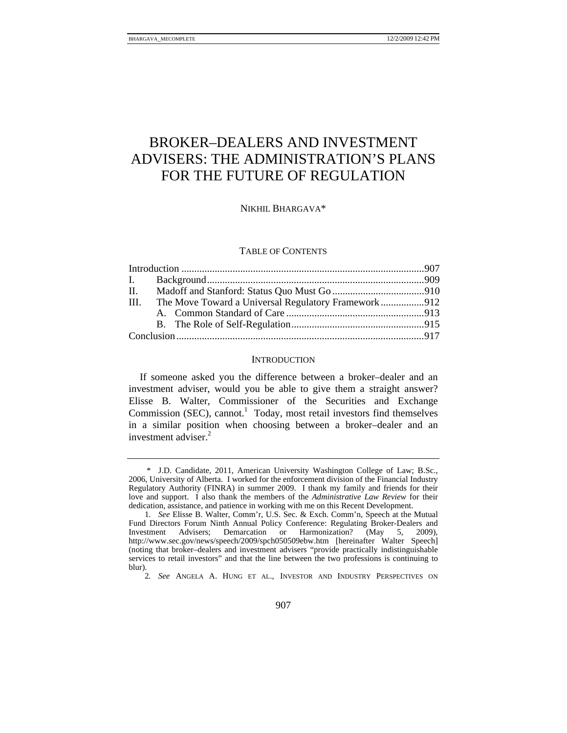# BROKER–DEALERS AND INVESTMENT ADVISERS: THE ADMINISTRATION'S PLANS FOR THE FUTURE OF REGULATION

NIKHIL BHARGAVA\*

## TABLE OF CONTENTS

| The Move Toward a Universal Regulatory Framework912<br>III. |  |
|-------------------------------------------------------------|--|
|                                                             |  |
|                                                             |  |
|                                                             |  |

#### **INTRODUCTION**

If someone asked you the difference between a broker–dealer and an investment adviser, would you be able to give them a straight answer? Elisse B. Walter, Commissioner of the Securities and Exchange Commission (SEC), cannot.<sup>1</sup> Today, most retail investors find themselves in a similar position when choosing between a broker–dealer and an investment adviser.<sup>2</sup>

 <sup>\*</sup> J.D. Candidate, 2011, American University Washington College of Law; B.Sc., 2006, University of Alberta. I worked for the enforcement division of the Financial Industry Regulatory Authority (FINRA) in summer 2009. I thank my family and friends for their love and support. I also thank the members of the *Administrative Law Review* for their dedication, assistance, and patience in working with me on this Recent Development.

<sup>1</sup>*. See* Elisse B. Walter, Comm'r, U.S. Sec. & Exch. Comm'n, Speech at the Mutual Fund Directors Forum Ninth Annual Policy Conference: Regulating Broker-Dealers and Investment Advisers; Demarcation or Harmonization? (May 5, 2009), http://www.sec.gov/news/speech/2009/spch050509ebw.htm [hereinafter Walter Speech] (noting that broker–dealers and investment advisers "provide practically indistinguishable services to retail investors" and that the line between the two professions is continuing to blur).

<sup>2</sup>*. See* ANGELA A. HUNG ET AL., INVESTOR AND INDUSTRY PERSPECTIVES ON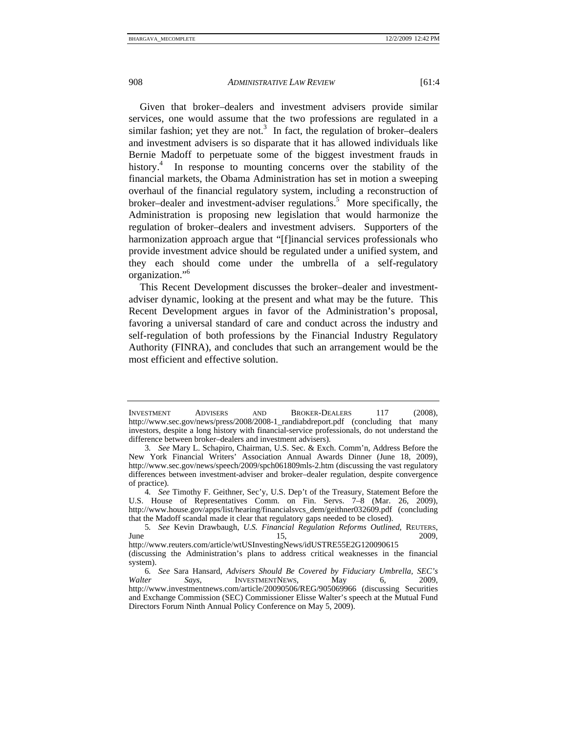Given that broker–dealers and investment advisers provide similar services, one would assume that the two professions are regulated in a similar fashion; yet they are not.<sup>3</sup> In fact, the regulation of broker-dealers and investment advisers is so disparate that it has allowed individuals like Bernie Madoff to perpetuate some of the biggest investment frauds in history.<sup>4</sup> In response to mounting concerns over the stability of the financial markets, the Obama Administration has set in motion a sweeping overhaul of the financial regulatory system, including a reconstruction of broker–dealer and investment-adviser regulations.<sup>5</sup> More specifically, the Administration is proposing new legislation that would harmonize the regulation of broker–dealers and investment advisers. Supporters of the harmonization approach argue that "[f]inancial services professionals who provide investment advice should be regulated under a unified system, and they each should come under the umbrella of a self-regulatory organization."6

This Recent Development discusses the broker–dealer and investmentadviser dynamic, looking at the present and what may be the future. This Recent Development argues in favor of the Administration's proposal, favoring a universal standard of care and conduct across the industry and self-regulation of both professions by the Financial Industry Regulatory Authority (FINRA), and concludes that such an arrangement would be the most efficient and effective solution.

INVESTMENT ADVISERS AND BROKER-DEALERS 117 (2008), http://www.sec.gov/news/press/2008/2008-1\_randiabdreport.pdf (concluding that many investors, despite a long history with financial-service professionals, do not understand the difference between broker–dealers and investment advisers).

<sup>3</sup>*. See* Mary L. Schapiro, Chairman, U.S. Sec. & Exch. Comm'n, Address Before the New York Financial Writers' Association Annual Awards Dinner (June 18, 2009), http://www.sec.gov/news/speech/2009/spch061809mls-2.htm (discussing the vast regulatory differences between investment-adviser and broker–dealer regulation, despite convergence of practice).

<sup>4</sup>*. See* Timothy F. Geithner, Sec'y, U.S. Dep't of the Treasury, Statement Before the U.S. House of Representatives Comm. on Fin. Servs. 7–8 (Mar. 26, 2009), http://www.house.gov/apps/list/hearing/financialsvcs\_dem/geithner032609.pdf (concluding that the Madoff scandal made it clear that regulatory gaps needed to be closed).

<sup>5</sup>*. See* Kevin Drawbaugh, *U.S. Financial Regulation Reforms Outlined*, REUTERS,  $\mu$  June 15, 2009, http://www.reuters.com/article/wtUSInvestingNews/idUSTRE55E2G120090615

<sup>(</sup>discussing the Administration's plans to address critical weaknesses in the financial system).

<sup>6</sup>*. See* Sara Hansard, *Advisers Should Be Covered by Fiduciary Umbrella, SEC's Walter Says*, INVESTMENTNEWS, May 6, 2009, http://www.investmentnews.com/article/20090506/REG/905069966 (discussing Securities and Exchange Commission (SEC) Commissioner Elisse Walter's speech at the Mutual Fund Directors Forum Ninth Annual Policy Conference on May 5, 2009).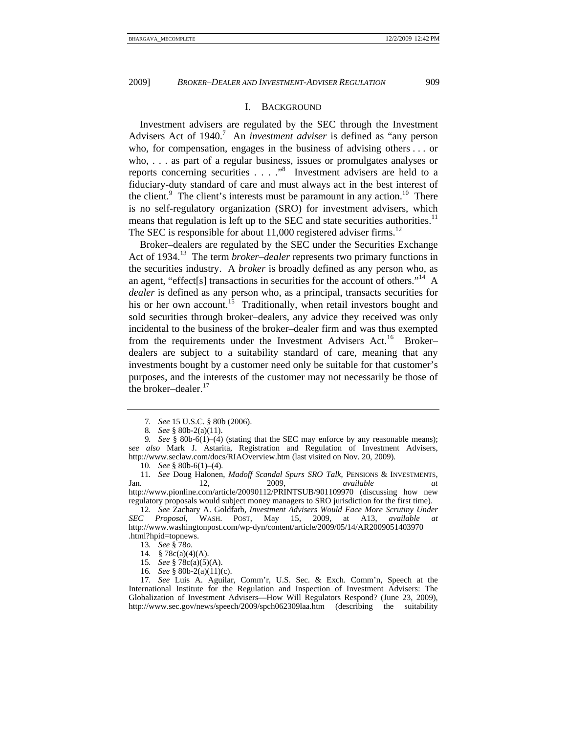### I. BACKGROUND

Investment advisers are regulated by the SEC through the Investment Advisers Act of 1940.<sup>7</sup> An *investment adviser* is defined as "any person who, for compensation, engages in the business of advising others . . . or who, . . . as part of a regular business, issues or promulgates analyses or reports concerning securities  $\ldots$  ..."<sup>8</sup> Investment advisers are held to a fiduciary-duty standard of care and must always act in the best interest of the client.<sup>9</sup> The client's interests must be paramount in any action.<sup>10</sup> There is no self-regulatory organization (SRO) for investment advisers, which means that regulation is left up to the SEC and state securities authorities.<sup>11</sup> The SEC is responsible for about  $11,000$  registered adviser firms.<sup>12</sup>

Broker–dealers are regulated by the SEC under the Securities Exchange Act of 1934.<sup>13</sup> The term *broker–dealer* represents two primary functions in the securities industry. A *broker* is broadly defined as any person who, as an agent, "effect<sup>[s]</sup> transactions in securities for the account of others."<sup>14</sup> A *dealer* is defined as any person who, as a principal, transacts securities for his or her own account.<sup>15</sup> Traditionally, when retail investors bought and sold securities through broker–dealers, any advice they received was only incidental to the business of the broker–dealer firm and was thus exempted from the requirements under the Investment Advisers Act.<sup>16</sup> Brokerdealers are subject to a suitability standard of care, meaning that any investments bought by a customer need only be suitable for that customer's purposes, and the interests of the customer may not necessarily be those of the broker–dealer. $^{17}$ 

10*. See* § 80b-6(1)–(4)*.*

- 15*. See* § 78c(a)(5)(A).
- 16*. See* § 80b-2(a)(11)(c).

<sup>7</sup>*. See* 15 U.S.C. § 80b (2006).

<sup>8</sup>*. See* § 80b-2(a)(11).

<sup>9</sup>*. See* § 80b-6(1)–(4) (stating that the SEC may enforce by any reasonable means); s*ee also* Mark J. Astarita, Registration and Regulation of Investment Advisers, http://www.seclaw.com/docs/RIAOverview.htm (last visited on Nov. 20, 2009).

<sup>11</sup>*. See* Doug Halonen, *Madoff Scandal Spurs SRO Talk*, PENSIONS & INVESTMENTS, Jan. 12, 2009, *available at*  http://www.pionline.com/article/20090112/PRINTSUB/901109970 (discussing how new

regulatory proposals would subject money managers to SRO jurisdiction for the first time). 12*. See* Zachary A. Goldfarb, *Investment Advisers Would Face More Scrutiny Under* 

*SEC Proposal*, WASH. POST, May 15, 2009, at A13, *available at* http://www.washingtonpost.com/wp-dyn/content/article/2009/05/14/AR2009051403970 .html?hpid=topnews.

<sup>13</sup>*. See* § 78*o*.

<sup>14</sup>*.* § 78c(a)(4)(A).

<sup>17</sup>*. See* Luis A. Aguilar, Comm'r, U.S. Sec. & Exch. Comm'n, Speech at the International Institute for the Regulation and Inspection of Investment Advisers: The Globalization of Investment Advisers—How Will Regulators Respond? (June 23, 2009), http://www.sec.gov/news/speech/2009/spch062309laa.htm (describing the suitability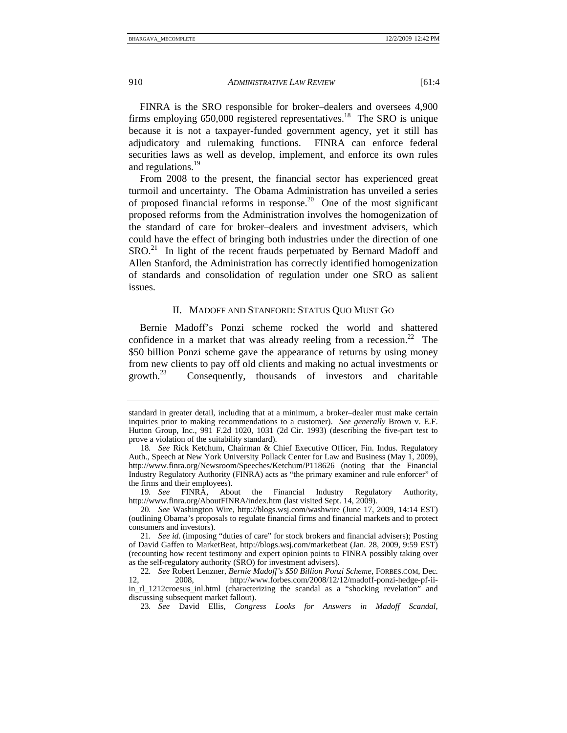FINRA is the SRO responsible for broker–dealers and oversees 4,900 firms employing  $650,000$  registered representatives.<sup>18</sup> The SRO is unique because it is not a taxpayer-funded government agency, yet it still has adjudicatory and rulemaking functions. FINRA can enforce federal securities laws as well as develop, implement, and enforce its own rules and regulations.<sup>19</sup>

From 2008 to the present, the financial sector has experienced great turmoil and uncertainty. The Obama Administration has unveiled a series of proposed financial reforms in response.<sup>20</sup> One of the most significant proposed reforms from the Administration involves the homogenization of the standard of care for broker–dealers and investment advisers, which could have the effect of bringing both industries under the direction of one SRO.<sup>21</sup> In light of the recent frauds perpetuated by Bernard Madoff and Allen Stanford, the Administration has correctly identified homogenization of standards and consolidation of regulation under one SRO as salient issues.

## II. MADOFF AND STANFORD: STATUS QUO MUST GO

Bernie Madoff's Ponzi scheme rocked the world and shattered confidence in a market that was already reeling from a recession.<sup>22</sup> The \$50 billion Ponzi scheme gave the appearance of returns by using money from new clients to pay off old clients and making no actual investments or growth.<sup>23</sup> Consequently, thousands of investors and charitable Consequently, thousands of investors and charitable

standard in greater detail, including that at a minimum, a broker–dealer must make certain inquiries prior to making recommendations to a customer). *See generally* Brown v. E.F. Hutton Group, Inc., 991 F.2d 1020, 1031 (2d Cir. 1993) (describing the five-part test to prove a violation of the suitability standard).

<sup>18</sup>*. See* Rick Ketchum, Chairman & Chief Executive Officer, Fin. Indus. Regulatory Auth., Speech at New York University Pollack Center for Law and Business (May 1, 2009), http://www.finra.org/Newsroom/Speeches/Ketchum/P118626 (noting that the Financial Industry Regulatory Authority (FINRA) acts as "the primary examiner and rule enforcer" of the firms and their employees).

<sup>19</sup>*. See* FINRA, About the Financial Industry Regulatory Authority, http://www.finra.org/AboutFINRA/index.htm (last visited Sept. 14, 2009).

<sup>20</sup>*. See* Washington Wire, http://blogs.wsj.com/washwire (June 17, 2009, 14:14 EST) (outlining Obama's proposals to regulate financial firms and financial markets and to protect consumers and investors).

<sup>21</sup>*. See id*. (imposing "duties of care" for stock brokers and financial advisers); Posting of David Gaffen to MarketBeat, http://blogs.wsj.com/marketbeat (Jan. 28, 2009, 9:59 EST) (recounting how recent testimony and expert opinion points to FINRA possibly taking over as the self-regulatory authority (SRO) for investment advisers).

<sup>22</sup>*. See* Robert Lenzner, *Bernie Madoff's \$50 Billion Ponzi Scheme*, FORBES.COM, Dec. 12, 2008, http://www.forbes.com/2008/12/12/madoff-ponzi-hedge-pf-iiin\_rl\_1212croesus\_inl.html (characterizing the scandal as a "shocking revelation" and discussing subsequent market fallout).

<sup>23</sup>*. See* David Ellis, *Congress Looks for Answers in Madoff Scandal*,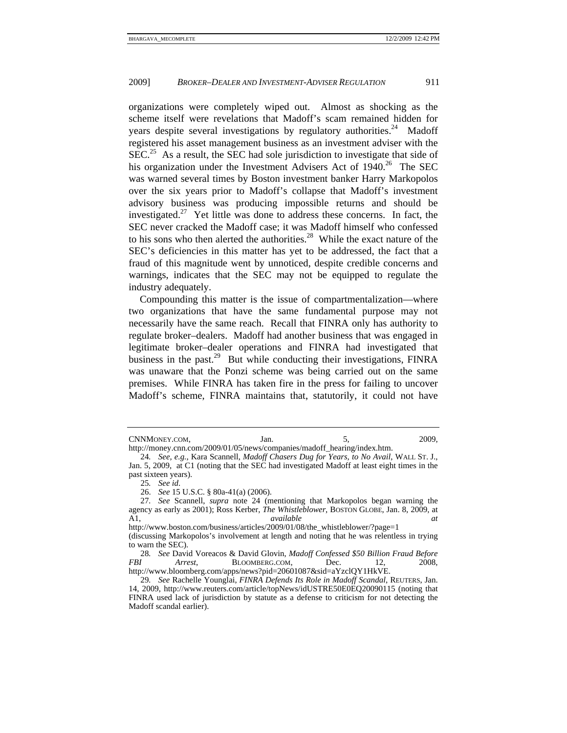organizations were completely wiped out. Almost as shocking as the scheme itself were revelations that Madoff's scam remained hidden for years despite several investigations by regulatory authorities.<sup>24</sup> Madoff registered his asset management business as an investment adviser with the  $SEC.<sup>25</sup>$  As a result, the SEC had sole jurisdiction to investigate that side of his organization under the Investment Advisers Act of 1940.<sup>26</sup> The SEC was warned several times by Boston investment banker Harry Markopolos over the six years prior to Madoff's collapse that Madoff's investment advisory business was producing impossible returns and should be investigated.<sup>27</sup> Yet little was done to address these concerns. In fact, the SEC never cracked the Madoff case; it was Madoff himself who confessed to his sons who then alerted the authorities.<sup>28</sup> While the exact nature of the SEC's deficiencies in this matter has yet to be addressed, the fact that a fraud of this magnitude went by unnoticed, despite credible concerns and warnings, indicates that the SEC may not be equipped to regulate the industry adequately.

Compounding this matter is the issue of compartmentalization—where two organizations that have the same fundamental purpose may not necessarily have the same reach. Recall that FINRA only has authority to regulate broker–dealers. Madoff had another business that was engaged in legitimate broker–dealer operations and FINRA had investigated that business in the past. $^{29}$  But while conducting their investigations, FINRA was unaware that the Ponzi scheme was being carried out on the same premises. While FINRA has taken fire in the press for failing to uncover Madoff's scheme, FINRA maintains that, statutorily, it could not have

http://money.cnn.com/2009/01/05/news/companies/madoff\_hearing/index.htm.

CNNMONEY.COM, Jan. 5, 2009,

<sup>24</sup>*. See, e.g.*, Kara Scannell, *Madoff Chasers Dug for Years, to No Avail*, WALL ST. J., Jan. 5, 2009, at C1 (noting that the SEC had investigated Madoff at least eight times in the past sixteen years).

<sup>25</sup>*. See id*.

 <sup>26.</sup> *See* 15 U.S.C. § 80a-41(a) (2006).

<sup>27</sup>*. See* Scannell, *supra* note 24 (mentioning that Markopolos began warning the agency as early as 2001); Ross Kerber, *The Whistleblower*, BOSTON GLOBE, Jan. 8, 2009, at A1, *available at* 

http://www.boston.com/business/articles/2009/01/08/the\_whistleblower/?page=1 (discussing Markopolos's involvement at length and noting that he was relentless in trying to warn the SEC).

<sup>28</sup>*. See* David Voreacos & David Glovin, *Madoff Confessed \$50 Billion Fraud Before Arrest*, **BLOOMBERG.COM,** Dec. 12, 2008, http://www.bloomberg.com/apps/news?pid=20601087&sid=aYzclQY1HkVE.

<sup>29</sup>*. See* Rachelle Younglai, *FINRA Defends Its Role in Madoff Scandal*, REUTERS, Jan. 14, 2009, http://www.reuters.com/article/topNews/idUSTRE50E0EQ20090115 (noting that FINRA used lack of jurisdiction by statute as a defense to criticism for not detecting the Madoff scandal earlier).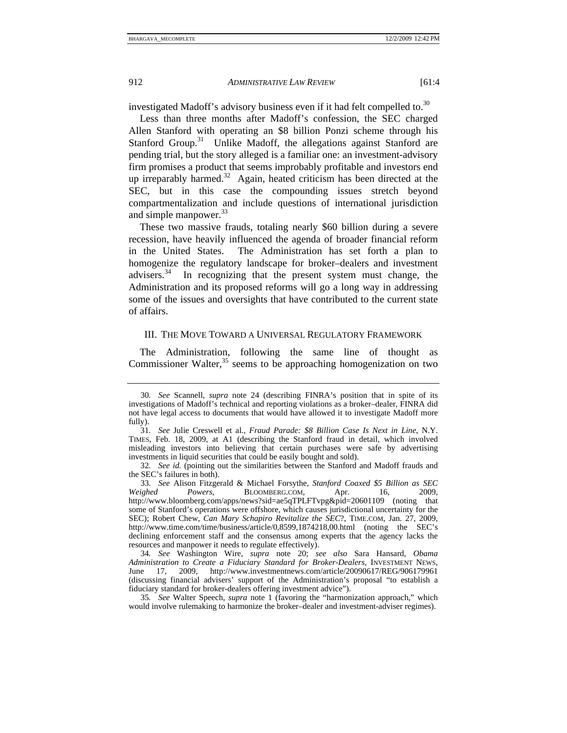investigated Madoff's advisory business even if it had felt compelled to.<sup>30</sup>

Less than three months after Madoff's confession, the SEC charged Allen Stanford with operating an \$8 billion Ponzi scheme through his Stanford Group.<sup>31</sup> Unlike Madoff, the allegations against Stanford are pending trial, but the story alleged is a familiar one: an investment-advisory firm promises a product that seems improbably profitable and investors end up irreparably harmed.<sup>32</sup> Again, heated criticism has been directed at the SEC, but in this case the compounding issues stretch beyond compartmentalization and include questions of international jurisdiction and simple manpower.<sup>33</sup>

These two massive frauds, totaling nearly \$60 billion during a severe recession, have heavily influenced the agenda of broader financial reform in the United States. The Administration has set forth a plan to homogenize the regulatory landscape for broker–dealers and investment advisers. $34$  In recognizing that the present system must change, the Administration and its proposed reforms will go a long way in addressing some of the issues and oversights that have contributed to the current state of affairs.

## III. THE MOVE TOWARD A UNIVERSAL REGULATORY FRAMEWORK

The Administration, following the same line of thought as Commissioner Walter, $35$  seems to be approaching homogenization on two

<sup>30</sup>*. See* Scannell, *supra* note 24 (describing FINRA's position that in spite of its investigations of Madoff's technical and reporting violations as a broker–dealer, FINRA did not have legal access to documents that would have allowed it to investigate Madoff more fully).

<sup>31</sup>*. See* Julie Creswell et al., *Fraud Parade: \$8 Billion Case Is Next in Line*, N.Y. TIMES, Feb. 18, 2009, at A1 (describing the Stanford fraud in detail, which involved misleading investors into believing that certain purchases were safe by advertising investments in liquid securities that could be easily bought and sold).

<sup>32</sup>*. See id.* (pointing out the similarities between the Stanford and Madoff frauds and the SEC's failures in both).

<sup>33</sup>*. See* Alison Fitzgerald & Michael Forsythe, *Stanford Coaxed \$5 Billion as SEC Weighed Powers*, BLOOMBERG.COM, Apr. 16, 2009, http://www.bloomberg.com/apps/news?sid=ae5qTPLFTvpg&pid=20601109 (noting that some of Stanford's operations were offshore, which causes jurisdictional uncertainty for the SEC); Robert Chew, *Can Mary Schapiro Revitalize the SEC*?, TIME.COM, Jan. 27, 2009, http://www.time.com/time/business/article/0,8599,1874218,00.html (noting the SEC's declining enforcement staff and the consensus among experts that the agency lacks the resources and manpower it needs to regulate effectively).

<sup>34</sup>*. See* Washington Wire, *supra* note 20; *see also* Sara Hansard, *Obama Administration to Create a Fiduciary Standard for Broker-Dealers*, INVESTMENT NEWS, June 17, 2009, http://www.investmentnews.com/article/20090617/REG/906179961 (discussing financial advisers' support of the Administration's proposal "to establish a fiduciary standard for broker-dealers offering investment advice").

<sup>35</sup>*. See* Walter Speech, *supra* note 1 (favoring the "harmonization approach," which would involve rulemaking to harmonize the broker–dealer and investment-adviser regimes).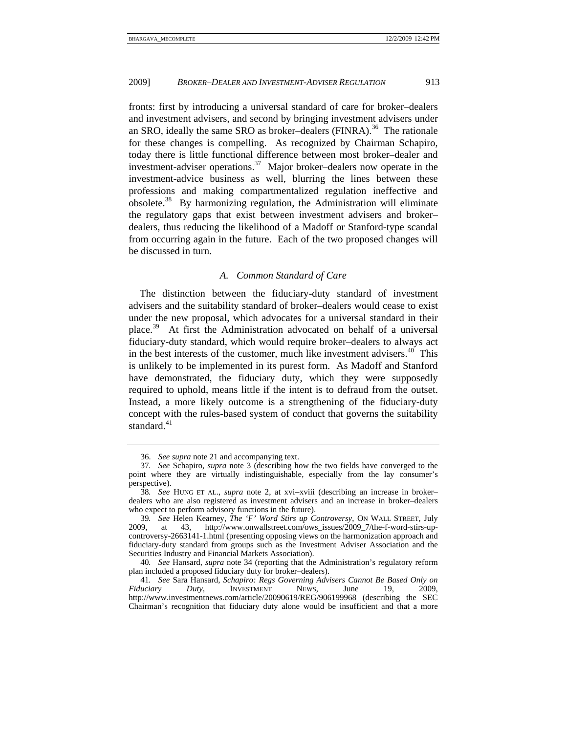fronts: first by introducing a universal standard of care for broker–dealers and investment advisers, and second by bringing investment advisers under an SRO, ideally the same SRO as broker–dealers  $(FINRA)$ .<sup>36</sup> The rationale for these changes is compelling. As recognized by Chairman Schapiro, today there is little functional difference between most broker–dealer and investment-adviser operations.<sup>37</sup> Major broker–dealers now operate in the investment-advice business as well, blurring the lines between these professions and making compartmentalized regulation ineffective and obsolete.38 By harmonizing regulation, the Administration will eliminate the regulatory gaps that exist between investment advisers and broker– dealers, thus reducing the likelihood of a Madoff or Stanford-type scandal from occurring again in the future. Each of the two proposed changes will be discussed in turn.

#### *A. Common Standard of Care*

The distinction between the fiduciary-duty standard of investment advisers and the suitability standard of broker–dealers would cease to exist under the new proposal, which advocates for a universal standard in their place.39 At first the Administration advocated on behalf of a universal fiduciary-duty standard, which would require broker–dealers to always act in the best interests of the customer, much like investment advisers. $40$  This is unlikely to be implemented in its purest form. As Madoff and Stanford have demonstrated, the fiduciary duty, which they were supposedly required to uphold, means little if the intent is to defraud from the outset. Instead, a more likely outcome is a strengthening of the fiduciary-duty concept with the rules-based system of conduct that governs the suitability standard. $41$ 

 <sup>36.</sup> *See supra* note 21 and accompanying text.

<sup>37</sup>*. See* Schapiro, *supra* note 3 (describing how the two fields have converged to the point where they are virtually indistinguishable, especially from the lay consumer's perspective).

<sup>38</sup>*. See* HUNG ET AL., *supra* note 2, at xvi−xviii (describing an increase in broker– dealers who are also registered as investment advisers and an increase in broker–dealers who expect to perform advisory functions in the future).

<sup>39</sup>*. See* Helen Kearney, *The 'F' Word Stirs up Controversy*, ON WALL STREET, July 2009, at 43, http://www.onwallstreet.com/ows\_issues/2009\_7/the-f-word-stirs-upcontroversy-2663141-1.html (presenting opposing views on the harmonization approach and fiduciary-duty standard from groups such as the Investment Adviser Association and the Securities Industry and Financial Markets Association).

<sup>40</sup>*. See* Hansard, *supra* note 34 (reporting that the Administration's regulatory reform plan included a proposed fiduciary duty for broker–dealers).

<sup>41</sup>*. See* Sara Hansard, *Schapiro: Regs Governing Advisers Cannot Be Based Only on Fiduciary Duty*, INVESTMENT http://www.investmentnews.com/article/20090619/REG/906199968 (describing the SEC Chairman's recognition that fiduciary duty alone would be insufficient and that a more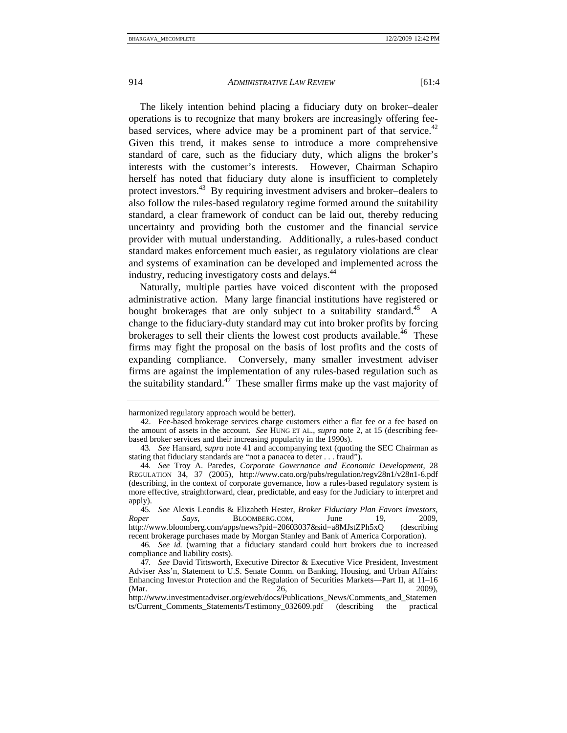The likely intention behind placing a fiduciary duty on broker–dealer operations is to recognize that many brokers are increasingly offering feebased services, where advice may be a prominent part of that service.<sup>42</sup> Given this trend, it makes sense to introduce a more comprehensive standard of care, such as the fiduciary duty, which aligns the broker's interests with the customer's interests. However, Chairman Schapiro herself has noted that fiduciary duty alone is insufficient to completely protect investors.43 By requiring investment advisers and broker–dealers to also follow the rules-based regulatory regime formed around the suitability standard, a clear framework of conduct can be laid out, thereby reducing uncertainty and providing both the customer and the financial service provider with mutual understanding. Additionally, a rules-based conduct standard makes enforcement much easier, as regulatory violations are clear and systems of examination can be developed and implemented across the industry, reducing investigatory costs and delays.<sup>44</sup>

Naturally, multiple parties have voiced discontent with the proposed administrative action. Many large financial institutions have registered or bought brokerages that are only subject to a suitability standard.<sup>45</sup> A change to the fiduciary-duty standard may cut into broker profits by forcing brokerages to sell their clients the lowest cost products available.<sup>46</sup> These firms may fight the proposal on the basis of lost profits and the costs of expanding compliance. Conversely, many smaller investment adviser firms are against the implementation of any rules-based regulation such as the suitability standard.<sup>47</sup> These smaller firms make up the vast majority of

harmonized regulatory approach would be better).

 <sup>42.</sup> Fee-based brokerage services charge customers either a flat fee or a fee based on the amount of assets in the account. *See* HUNG ET AL., *supra* note 2, at 15 (describing feebased broker services and their increasing popularity in the 1990s).

<sup>43</sup>*. See* Hansard, *supra* note 41 and accompanying text (quoting the SEC Chairman as stating that fiduciary standards are "not a panacea to deter . . . fraud").

<sup>44</sup>*. See* Troy A. Paredes, *Corporate Governance and Economic Development*, 28 REGULATION 34, 37 (2005), http://www.cato.org/pubs/regulation/regv28n1/v28n1-6.pdf (describing, in the context of corporate governance, how a rules-based regulatory system is more effective, straightforward, clear, predictable, and easy for the Judiciary to interpret and apply).

<sup>45</sup>*. See* Alexis Leondis & Elizabeth Hester, *Broker Fiduciary Plan Favors Investors, Roper Says*, BLOOMBERG.COM, June 19, 2009, http://www.bloomberg.com/apps/news?pid=20603037&sid=a8MJstZPh5xQ (describing recent brokerage purchases made by Morgan Stanley and Bank of America Corporation).

<sup>46</sup>*. See id.* (warning that a fiduciary standard could hurt brokers due to increased compliance and liability costs).

<sup>47</sup>*. See* David Tittsworth, Executive Director & Executive Vice President, Investment Adviser Ass'n, Statement to U.S. Senate Comm. on Banking, Housing, and Urban Affairs: Enhancing Investor Protection and the Regulation of Securities Markets—Part II, at 11–16 (Mar. 2009). (Mar. 26, 2009),

http://www.investmentadviser.org/eweb/docs/Publications\_News/Comments\_and\_Statemen ts/Current\_Comments\_Statements/Testimony\_032609.pdf (describing the practical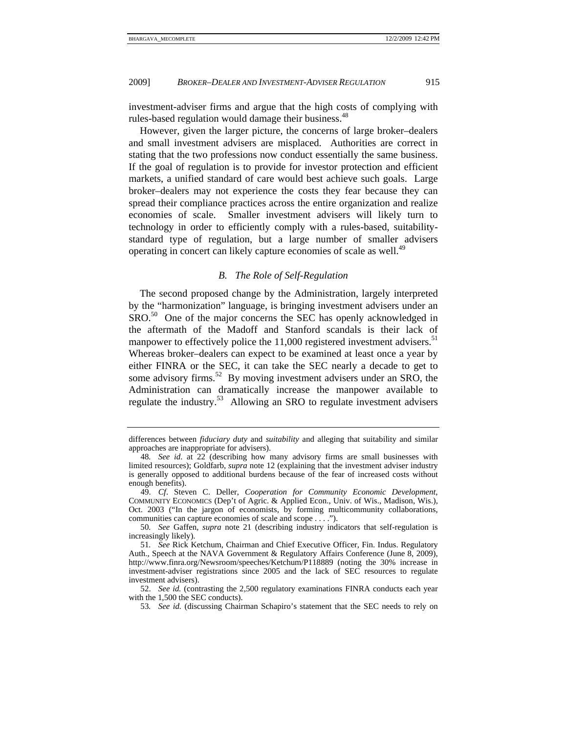investment-adviser firms and argue that the high costs of complying with rules-based regulation would damage their business.<sup>48</sup>

However, given the larger picture, the concerns of large broker–dealers and small investment advisers are misplaced. Authorities are correct in stating that the two professions now conduct essentially the same business. If the goal of regulation is to provide for investor protection and efficient markets, a unified standard of care would best achieve such goals. Large broker–dealers may not experience the costs they fear because they can spread their compliance practices across the entire organization and realize economies of scale. Smaller investment advisers will likely turn to technology in order to efficiently comply with a rules-based, suitabilitystandard type of regulation, but a large number of smaller advisers operating in concert can likely capture economies of scale as well.<sup>49</sup>

## *B. The Role of Self-Regulation*

The second proposed change by the Administration, largely interpreted by the "harmonization" language, is bringing investment advisers under an SRO.<sup>50</sup> One of the major concerns the SEC has openly acknowledged in the aftermath of the Madoff and Stanford scandals is their lack of manpower to effectively police the  $11,000$  registered investment advisers.<sup>51</sup> Whereas broker–dealers can expect to be examined at least once a year by either FINRA or the SEC, it can take the SEC nearly a decade to get to some advisory firms.<sup>52</sup> By moving investment advisers under an SRO, the Administration can dramatically increase the manpower available to regulate the industry.<sup>53</sup> Allowing an SRO to regulate investment advisers

differences between *fiduciary duty* and *suitability* and alleging that suitability and similar approaches are inappropriate for advisers).

<sup>48</sup>*. See id*. at 22 (describing how many advisory firms are small businesses with limited resources); Goldfarb, *supra* note 12 (explaining that the investment adviser industry is generally opposed to additional burdens because of the fear of increased costs without enough benefits).

 <sup>49.</sup> *Cf*. Steven C. Deller, *Cooperation for Community Economic Development*, COMMUNITY ECONOMICS (Dep't of Agric. & Applied Econ., Univ. of Wis., Madison, Wis.), Oct. 2003 ("In the jargon of economists, by forming multicommunity collaborations, communities can capture economies of scale and scope . . . .").

<sup>50</sup>*. See* Gaffen, *supra* note 21 (describing industry indicators that self-regulation is increasingly likely).

<sup>51</sup>*. See* Rick Ketchum, Chairman and Chief Executive Officer, Fin. Indus. Regulatory Auth., Speech at the NAVA Government & Regulatory Affairs Conference (June 8, 2009), http://www.finra.org/Newsroom/speeches/Ketchum/P118889 (noting the 30% increase in investment-adviser registrations since 2005 and the lack of SEC resources to regulate investment advisers).

 <sup>52.</sup> *See id.* (contrasting the 2,500 regulatory examinations FINRA conducts each year with the 1,500 the SEC conducts).

<sup>53</sup>*. See id.* (discussing Chairman Schapiro's statement that the SEC needs to rely on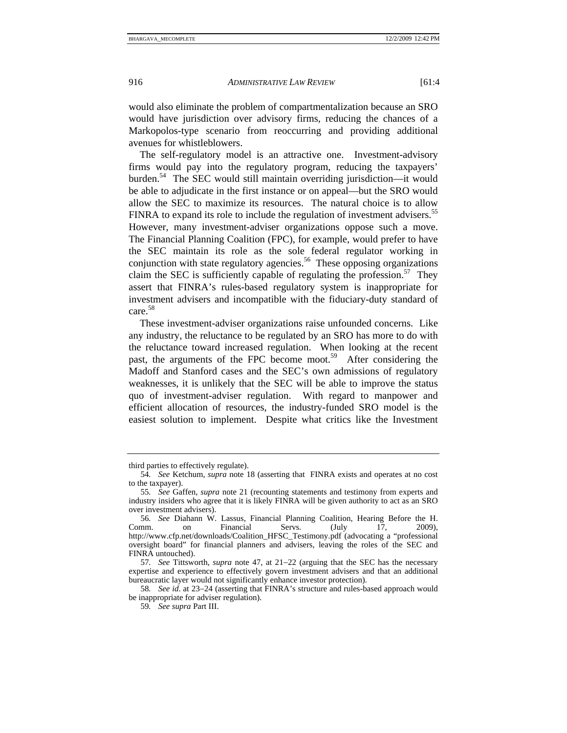would also eliminate the problem of compartmentalization because an SRO would have jurisdiction over advisory firms, reducing the chances of a Markopolos-type scenario from reoccurring and providing additional avenues for whistleblowers.

The self-regulatory model is an attractive one. Investment-advisory firms would pay into the regulatory program, reducing the taxpayers' burden.54 The SEC would still maintain overriding jurisdiction—it would be able to adjudicate in the first instance or on appeal—but the SRO would allow the SEC to maximize its resources. The natural choice is to allow FINRA to expand its role to include the regulation of investment advisers.<sup>55</sup> However, many investment-adviser organizations oppose such a move. The Financial Planning Coalition (FPC), for example, would prefer to have the SEC maintain its role as the sole federal regulator working in conjunction with state regulatory agencies.<sup>56</sup> These opposing organizations claim the SEC is sufficiently capable of regulating the profession.<sup>57</sup> They assert that FINRA's rules-based regulatory system is inappropriate for investment advisers and incompatible with the fiduciary-duty standard of care.<sup>58</sup>

These investment-adviser organizations raise unfounded concerns. Like any industry, the reluctance to be regulated by an SRO has more to do with the reluctance toward increased regulation. When looking at the recent past, the arguments of the FPC become moot.<sup>59</sup> After considering the Madoff and Stanford cases and the SEC's own admissions of regulatory weaknesses, it is unlikely that the SEC will be able to improve the status quo of investment-adviser regulation. With regard to manpower and efficient allocation of resources, the industry-funded SRO model is the easiest solution to implement. Despite what critics like the Investment

third parties to effectively regulate).

<sup>54</sup>*. See* Ketchum, *supra* note 18 (asserting that FINRA exists and operates at no cost to the taxpayer).

<sup>55</sup>*. See* Gaffen, *supra* note 21 (recounting statements and testimony from experts and industry insiders who agree that it is likely FINRA will be given authority to act as an SRO over investment advisers).

<sup>56</sup>*. See* Diahann W. Lassus, Financial Planning Coalition, Hearing Before the H. Comm. on Financial Servs. (July 17, 2009), http://www.cfp.net/downloads/Coalition\_HFSC\_Testimony.pdf (advocating a "professional oversight board" for financial planners and advisers, leaving the roles of the SEC and FINRA untouched).

<sup>57</sup>*. See* Tittsworth, *supra* note 47, at 21−22 (arguing that the SEC has the necessary expertise and experience to effectively govern investment advisers and that an additional bureaucratic layer would not significantly enhance investor protection).

<sup>58</sup>*. See id*. at 23−24 (asserting that FINRA's structure and rules-based approach would be inappropriate for adviser regulation).

<sup>59</sup>*. See supra* Part III.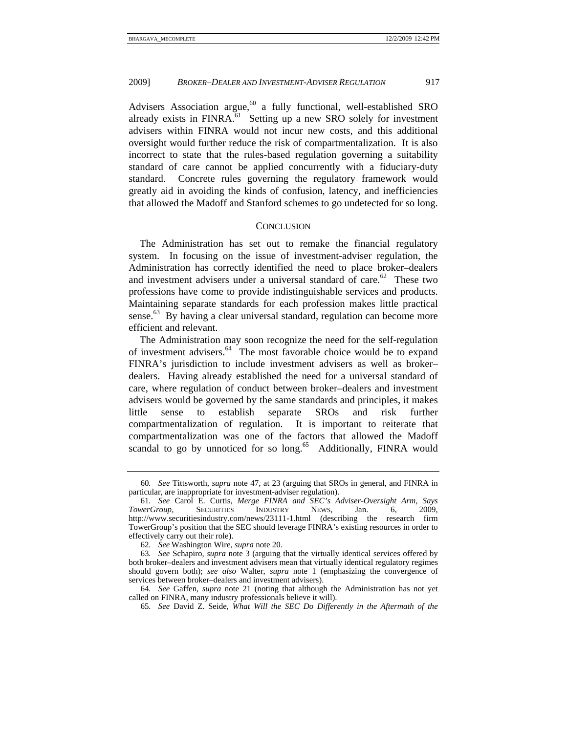Advisers Association argue, $60$  a fully functional, well-established SRO already exists in FINRA. $^{61}$  Setting up a new SRO solely for investment advisers within FINRA would not incur new costs, and this additional oversight would further reduce the risk of compartmentalization. It is also incorrect to state that the rules-based regulation governing a suitability standard of care cannot be applied concurrently with a fiduciary-duty standard. Concrete rules governing the regulatory framework would greatly aid in avoiding the kinds of confusion, latency, and inefficiencies that allowed the Madoff and Stanford schemes to go undetected for so long.

#### **CONCLUSION**

The Administration has set out to remake the financial regulatory system. In focusing on the issue of investment-adviser regulation, the Administration has correctly identified the need to place broker–dealers and investment advisers under a universal standard of care.<sup>62</sup> These two professions have come to provide indistinguishable services and products. Maintaining separate standards for each profession makes little practical sense.<sup>63</sup> By having a clear universal standard, regulation can become more efficient and relevant.

The Administration may soon recognize the need for the self-regulation of investment advisers.64 The most favorable choice would be to expand FINRA's jurisdiction to include investment advisers as well as broker– dealers. Having already established the need for a universal standard of care, where regulation of conduct between broker–dealers and investment advisers would be governed by the same standards and principles, it makes little sense to establish separate SROs and risk further compartmentalization of regulation. It is important to reiterate that compartmentalization was one of the factors that allowed the Madoff scandal to go by unnoticed for so long.<sup>65</sup> Additionally, FINRA would

<sup>60</sup>*. See* Tittsworth, *supra* note 47, at 23 (arguing that SROs in general, and FINRA in particular, are inappropriate for investment-adviser regulation).

<sup>61</sup>*. See* Carol E. Curtis, *Merge FINRA and SEC's Adviser-Oversight Arm, Says TowerGroup*, SECURITIES INDUSTRY NEWS, Jan. 6, 2009, http://www.securitiesindustry.com/news/23111-1.html (describing the research firm TowerGroup's position that the SEC should leverage FINRA's existing resources in order to effectively carry out their role).

<sup>62</sup>*. See* Washington Wire, *supra* note 20.

<sup>63</sup>*. See* Schapiro, *supra* note 3 (arguing that the virtually identical services offered by both broker–dealers and investment advisers mean that virtually identical regulatory regimes should govern both); *see also* Walter, *supra* note 1 (emphasizing the convergence of services between broker–dealers and investment advisers).

<sup>64</sup>*. See* Gaffen, *supra* note 21 (noting that although the Administration has not yet called on FINRA, many industry professionals believe it will).

<sup>65</sup>*. See* David Z. Seide, *What Will the SEC Do Differently in the Aftermath of the*